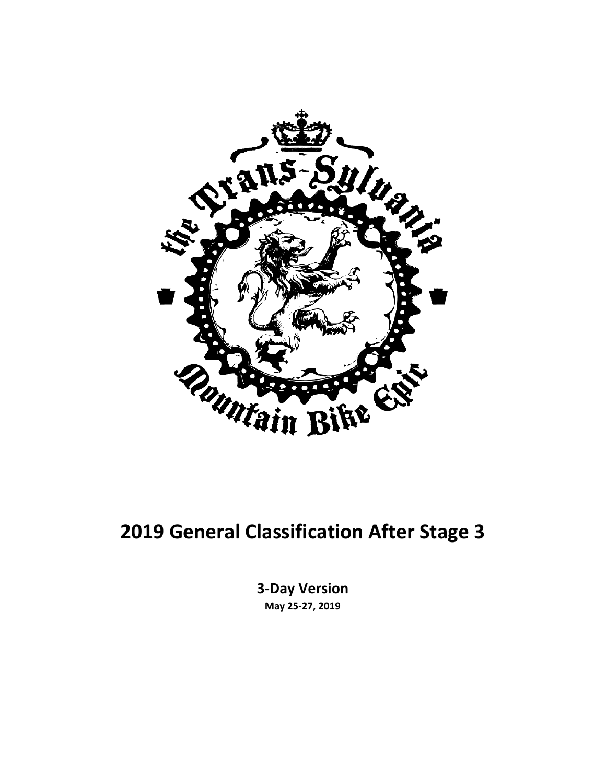

#### **2019 General Classification After Stage 3**

**3-Day Version May 25-27, 2019**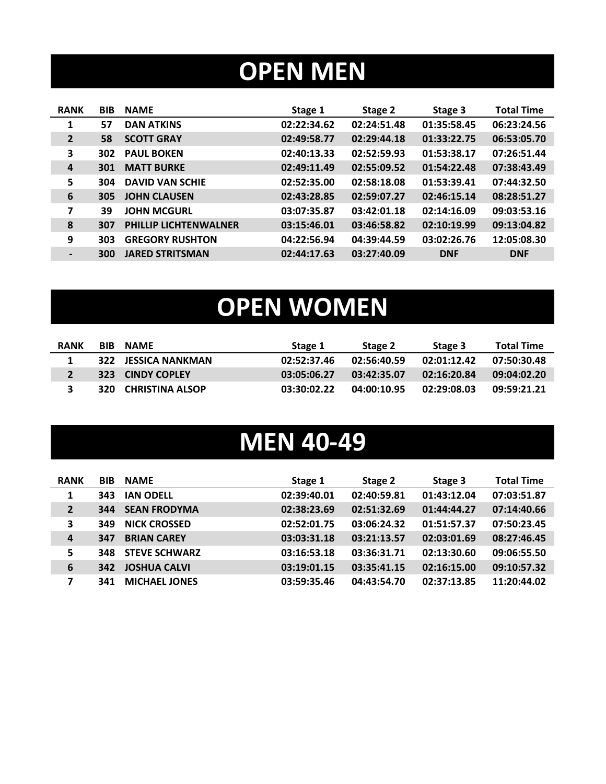# **OPEN MEN**

| <b>BIB</b> | <b>NAME</b>                  | Stage 1     | Stage 2     | Stage 3     | <b>Total Time</b> |
|------------|------------------------------|-------------|-------------|-------------|-------------------|
| 57         | <b>DAN ATKINS</b>            | 02:22:34.62 | 02:24:51.48 | 01:35:58.45 | 06:23:24.56       |
| 58         | <b>SCOTT GRAY</b>            | 02:49:58.77 | 02:29:44.18 | 01:33:22.75 | 06:53:05.70       |
| 302        | <b>PAUL BOKEN</b>            | 02:40:13.33 | 02:52:59.93 | 01:53:38.17 | 07:26:51.44       |
| 301        | <b>MATT BURKE</b>            | 02:49:11.49 | 02:55:09.52 | 01:54:22.48 | 07:38:43.49       |
| 304        | <b>DAVID VAN SCHIE</b>       | 02:52:35.00 | 02:58:18.08 | 01:53:39.41 | 07:44:32.50       |
| 305        | <b>JOHN CLAUSEN</b>          | 02:43:28.85 | 02:59:07.27 | 02:46:15.14 | 08:28:51.27       |
| 39         | <b>JOHN MCGURL</b>           | 03:07:35.87 | 03:42:01.18 | 02:14:16.09 | 09:03:53.16       |
| 307        | <b>PHILLIP LICHTENWALNER</b> | 03:15:46.01 | 03:46:58.82 | 02:10:19.99 | 09:13:04.82       |
| 303        | <b>GREGORY RUSHTON</b>       | 04:22:56.94 | 04:39:44.59 | 03:02:26.76 | 12:05:08.30       |
| 300        | <b>JARED STRITSMAN</b>       | 02:44:17.63 | 03:27:40.09 | <b>DNF</b>  | <b>DNF</b>        |
|            |                              |             |             |             |                   |

# **OPEN WOMEN**

| <b>RANK</b> | <b>BIB</b> | <b>NAMF</b>            | Stage 1     | Stage 2     | Stage 3     | <b>Total Time</b> |
|-------------|------------|------------------------|-------------|-------------|-------------|-------------------|
|             |            | 322 JESSICA NANKMAN    | 02:52:37.46 | 02:56:40.59 | 02:01:12.42 | 07:50:30.48       |
|             |            | 323 CINDY COPLEY       | 03:05:06.27 | 03:42:35.07 | 02:16:20.84 | 09:04:02.20       |
| 3           | 320.       | <b>CHRISTINA ALSOP</b> | 03:30:02.22 | 04:00:10.95 | 02:29:08.03 | 09:59:21.21       |

### **MEN 40-49**

| <b>RANK</b>    | <b>BIB</b> | <b>NAME</b>          | Stage 1     | Stage 2     | Stage 3     | <b>Total Time</b> |
|----------------|------------|----------------------|-------------|-------------|-------------|-------------------|
| 1              | 343        | <b>IAN ODELL</b>     | 02:39:40.01 | 02:40:59.81 | 01:43:12.04 | 07:03:51.87       |
| $\overline{2}$ | 344        | <b>SEAN FRODYMA</b>  | 02:38:23.69 | 02:51:32.69 | 01:44:44.27 | 07:14:40.66       |
| 3              | 349        | <b>NICK CROSSED</b>  | 02:52:01.75 | 03:06:24.32 | 01:51:57.37 | 07:50:23.45       |
| $\overline{a}$ | 347        | <b>BRIAN CAREY</b>   | 03:03:31.18 | 03:21:13.57 | 02:03:01.69 | 08:27:46.45       |
| 5              | 348        | <b>STEVE SCHWARZ</b> | 03:16:53.18 | 03:36:31.71 | 02:13:30.60 | 09:06:55.50       |
| 6              | 342        | <b>JOSHUA CALVI</b>  | 03:19:01.15 | 03:35:41.15 | 02:16:15.00 | 09:10:57.32       |
| 7              | 341        | <b>MICHAEL JONES</b> | 03:59:35.46 | 04:43:54.70 | 02:37:13.85 | 11:20:44.02       |